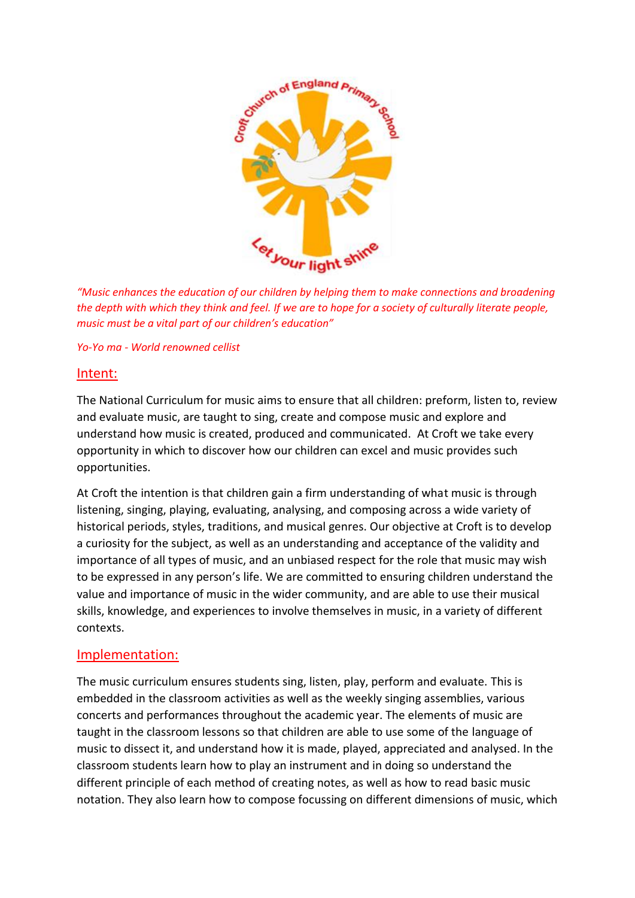

*"Music enhances the education of our children by helping them to make connections and broadening the depth with which they think and feel. If we are to hope for a society of culturally literate people, music must be a vital part of our children's education"*

## *Yo-Yo ma - World renowned cellist*

## Intent:

The National Curriculum for music aims to ensure that all children: preform, listen to, review and evaluate music, are taught to sing, create and compose music and explore and understand how music is created, produced and communicated. At Croft we take every opportunity in which to discover how our children can excel and music provides such opportunities.

At Croft the intention is that children gain a firm understanding of what music is through listening, singing, playing, evaluating, analysing, and composing across a wide variety of historical periods, styles, traditions, and musical genres. Our objective at Croft is to develop a curiosity for the subject, as well as an understanding and acceptance of the validity and importance of all types of music, and an unbiased respect for the role that music may wish to be expressed in any person's life. We are committed to ensuring children understand the value and importance of music in the wider community, and are able to use their musical skills, knowledge, and experiences to involve themselves in music, in a variety of different contexts.

## Implementation:

The music curriculum ensures students sing, listen, play, perform and evaluate. This is embedded in the classroom activities as well as the weekly singing assemblies, various concerts and performances throughout the academic year. The elements of music are taught in the classroom lessons so that children are able to use some of the language of music to dissect it, and understand how it is made, played, appreciated and analysed. In the classroom students learn how to play an instrument and in doing so understand the different principle of each method of creating notes, as well as how to read basic music notation. They also learn how to compose focussing on different dimensions of music, which